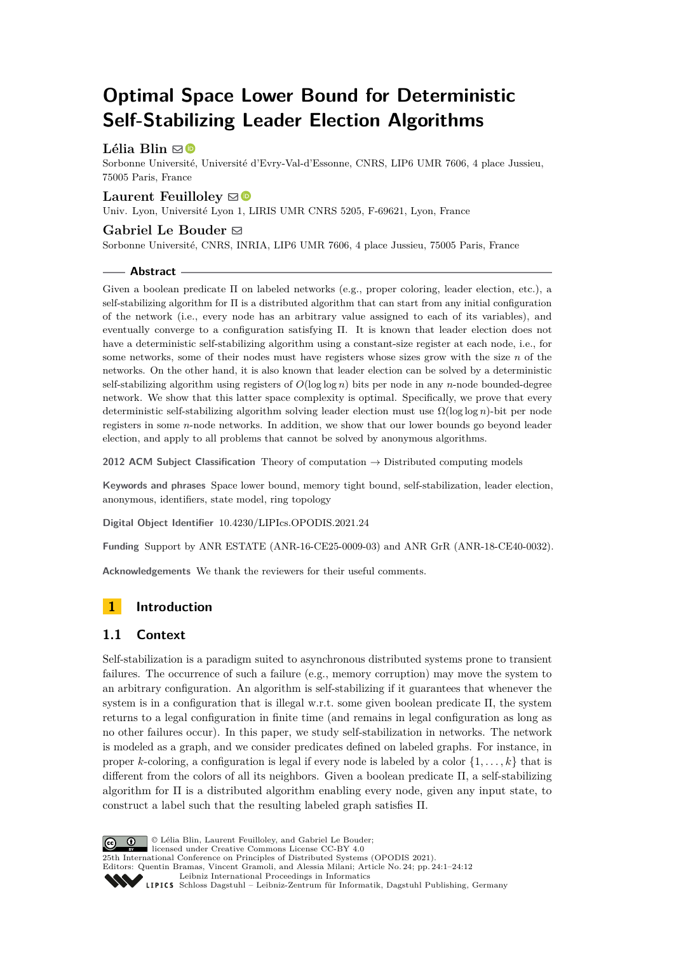# **Optimal Space Lower Bound for Deterministic Self-Stabilizing Leader Election Algorithms**

# Lélia Blin  $\boxtimes$

Sorbonne Université, Université d'Evry-Val-d'Essonne, CNRS, LIP6 UMR 7606, 4 place Jussieu, 75005 Paris, France

## **Laurent Feuilloley**  $\boxdot$

Univ. Lyon, Université Lyon 1, LIRIS UMR CNRS 5205, F-69621, Lyon, France

## Gabriel Le Bouder<sup> $\boxdot$ </sup>

Sorbonne Université, CNRS, INRIA, LIP6 UMR 7606, 4 place Jussieu, 75005 Paris, France

#### **Abstract**

Given a boolean predicate Π on labeled networks (e.g., proper coloring, leader election, etc.), a self-stabilizing algorithm for Π is a distributed algorithm that can start from any initial configuration of the network (i.e., every node has an arbitrary value assigned to each of its variables), and eventually converge to a configuration satisfying Π. It is known that leader election does not have a deterministic self-stabilizing algorithm using a constant-size register at each node, i.e., for some networks, some of their nodes must have registers whose sizes grow with the size *n* of the networks. On the other hand, it is also known that leader election can be solved by a deterministic self-stabilizing algorithm using registers of *O*(log log *n*) bits per node in any *n*-node bounded-degree network. We show that this latter space complexity is optimal. Specifically, we prove that every deterministic self-stabilizing algorithm solving leader election must use Ω(log log *n*)-bit per node registers in some *n*-node networks. In addition, we show that our lower bounds go beyond leader election, and apply to all problems that cannot be solved by anonymous algorithms.

**2012 ACM Subject Classification** Theory of computation → Distributed computing models

**Keywords and phrases** Space lower bound, memory tight bound, self-stabilization, leader election, anonymous, identifiers, state model, ring topology

**Digital Object Identifier** [10.4230/LIPIcs.OPODIS.2021.24](https://doi.org/10.4230/LIPIcs.OPODIS.2021.24)

**Funding** Support by ANR ESTATE (ANR-16-CE25-0009-03) and ANR GrR (ANR-18-CE40-0032).

**Acknowledgements** We thank the reviewers for their useful comments.

# **1 Introduction**

# **1.1 Context**

Self-stabilization is a paradigm suited to asynchronous distributed systems prone to transient failures. The occurrence of such a failure (e.g., memory corruption) may move the system to an arbitrary configuration. An algorithm is self-stabilizing if it guarantees that whenever the system is in a configuration that is illegal w.r.t. some given boolean predicate  $\Pi$ , the system returns to a legal configuration in finite time (and remains in legal configuration as long as no other failures occur). In this paper, we study self-stabilization in networks. The network is modeled as a graph, and we consider predicates defined on labeled graphs. For instance, in proper *k*-coloring, a configuration is legal if every node is labeled by a color {1*, . . . , k*} that is different from the colors of all its neighbors. Given a boolean predicate Π, a self-stabilizing algorithm for Π is a distributed algorithm enabling every node, given any input state, to construct a label such that the resulting labeled graph satisfies Π.

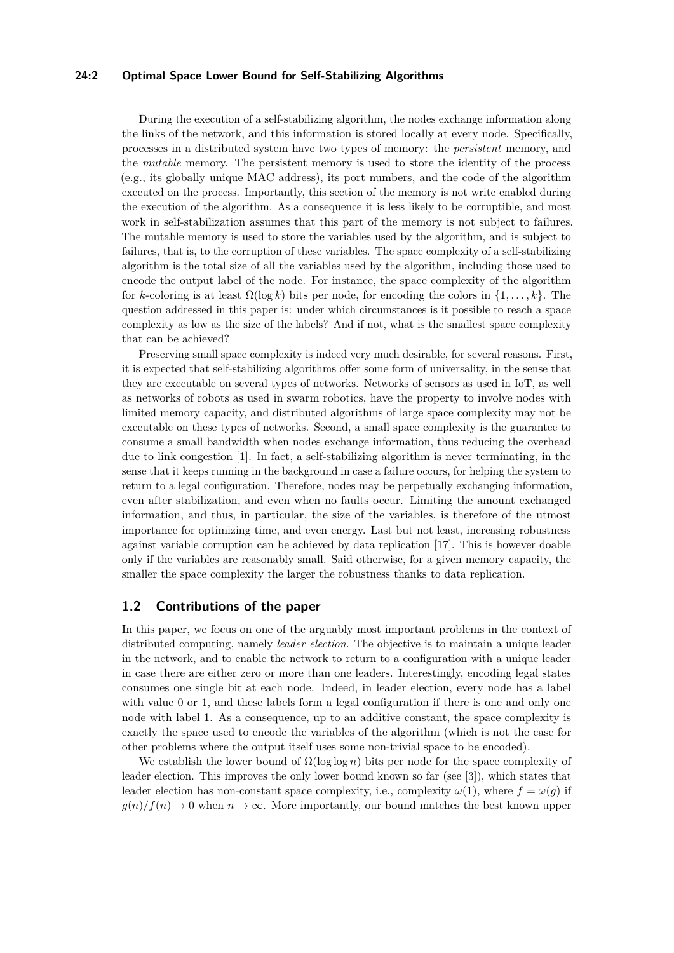#### **24:2 Optimal Space Lower Bound for Self-Stabilizing Algorithms**

During the execution of a self-stabilizing algorithm, the nodes exchange information along the links of the network, and this information is stored locally at every node. Specifically, processes in a distributed system have two types of memory: the *persistent* memory, and the *mutable* memory. The persistent memory is used to store the identity of the process (e.g., its globally unique MAC address), its port numbers, and the code of the algorithm executed on the process. Importantly, this section of the memory is not write enabled during the execution of the algorithm. As a consequence it is less likely to be corruptible, and most work in self-stabilization assumes that this part of the memory is not subject to failures. The mutable memory is used to store the variables used by the algorithm, and is subject to failures, that is, to the corruption of these variables. The space complexity of a self-stabilizing algorithm is the total size of all the variables used by the algorithm, including those used to encode the output label of the node. For instance, the space complexity of the algorithm for *k*-coloring is at least  $\Omega(\log k)$  bits per node, for encoding the colors in  $\{1, \ldots, k\}$ . The question addressed in this paper is: under which circumstances is it possible to reach a space complexity as low as the size of the labels? And if not, what is the smallest space complexity that can be achieved?

Preserving small space complexity is indeed very much desirable, for several reasons. First, it is expected that self-stabilizing algorithms offer some form of universality, in the sense that they are executable on several types of networks. Networks of sensors as used in IoT, as well as networks of robots as used in swarm robotics, have the property to involve nodes with limited memory capacity, and distributed algorithms of large space complexity may not be executable on these types of networks. Second, a small space complexity is the guarantee to consume a small bandwidth when nodes exchange information, thus reducing the overhead due to link congestion [\[1\]](#page-10-0). In fact, a self-stabilizing algorithm is never terminating, in the sense that it keeps running in the background in case a failure occurs, for helping the system to return to a legal configuration. Therefore, nodes may be perpetually exchanging information, even after stabilization, and even when no faults occur. Limiting the amount exchanged information, and thus, in particular, the size of the variables, is therefore of the utmost importance for optimizing time, and even energy. Last but not least, increasing robustness against variable corruption can be achieved by data replication [\[17\]](#page-11-0). This is however doable only if the variables are reasonably small. Said otherwise, for a given memory capacity, the smaller the space complexity the larger the robustness thanks to data replication.

### **1.2 Contributions of the paper**

In this paper, we focus on one of the arguably most important problems in the context of distributed computing, namely *leader election*. The objective is to maintain a unique leader in the network, and to enable the network to return to a configuration with a unique leader in case there are either zero or more than one leaders. Interestingly, encoding legal states consumes one single bit at each node. Indeed, in leader election, every node has a label with value 0 or 1, and these labels form a legal configuration if there is one and only one node with label 1. As a consequence, up to an additive constant, the space complexity is exactly the space used to encode the variables of the algorithm (which is not the case for other problems where the output itself uses some non-trivial space to be encoded).

We establish the lower bound of  $\Omega(\log \log n)$  bits per node for the space complexity of leader election. This improves the only lower bound known so far (see [\[3\]](#page-10-1)), which states that leader election has non-constant space complexity, i.e., complexity  $\omega(1)$ , where  $f = \omega(q)$  if  $g(n)/f(n) \to 0$  when  $n \to \infty$ . More importantly, our bound matches the best known upper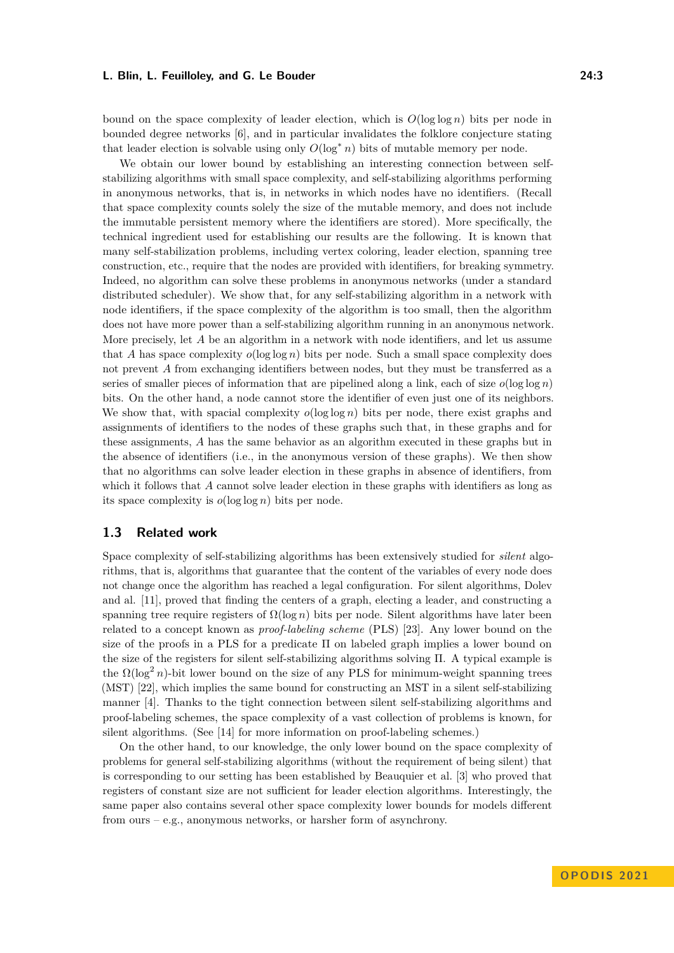bound on the space complexity of leader election, which is  $O(\log \log n)$  bits per node in bounded degree networks [\[6\]](#page-11-1), and in particular invalidates the folklore conjecture stating that leader election is solvable using only  $O(\log^* n)$  bits of mutable memory per node.

We obtain our lower bound by establishing an interesting connection between selfstabilizing algorithms with small space complexity, and self-stabilizing algorithms performing in anonymous networks, that is, in networks in which nodes have no identifiers. (Recall that space complexity counts solely the size of the mutable memory, and does not include the immutable persistent memory where the identifiers are stored). More specifically, the technical ingredient used for establishing our results are the following. It is known that many self-stabilization problems, including vertex coloring, leader election, spanning tree construction, etc., require that the nodes are provided with identifiers, for breaking symmetry. Indeed, no algorithm can solve these problems in anonymous networks (under a standard distributed scheduler). We show that, for any self-stabilizing algorithm in a network with node identifiers, if the space complexity of the algorithm is too small, then the algorithm does not have more power than a self-stabilizing algorithm running in an anonymous network. More precisely, let A be an algorithm in a network with node identifiers, and let us assume that *A* has space complexity  $o(\log \log n)$  bits per node. Such a small space complexity does not prevent *A* from exchanging identifiers between nodes, but they must be transferred as a series of smaller pieces of information that are pipelined along a link, each of size  $o(\log \log n)$ bits. On the other hand, a node cannot store the identifier of even just one of its neighbors. We show that, with spacial complexity  $o(\log \log n)$  bits per node, there exist graphs and assignments of identifiers to the nodes of these graphs such that, in these graphs and for these assignments, *A* has the same behavior as an algorithm executed in these graphs but in the absence of identifiers (i.e., in the anonymous version of these graphs). We then show that no algorithms can solve leader election in these graphs in absence of identifiers, from which it follows that *A* cannot solve leader election in these graphs with identifiers as long as its space complexity is  $o(\log \log n)$  bits per node.

### **1.3 Related work**

Space complexity of self-stabilizing algorithms has been extensively studied for *silent* algorithms, that is, algorithms that guarantee that the content of the variables of every node does not change once the algorithm has reached a legal configuration. For silent algorithms, Dolev and al. [\[11\]](#page-11-2), proved that finding the centers of a graph, electing a leader, and constructing a spanning tree require registers of  $\Omega(\log n)$  bits per node. Silent algorithms have later been related to a concept known as *proof-labeling scheme* (PLS) [\[23\]](#page-11-3). Any lower bound on the size of the proofs in a PLS for a predicate Π on labeled graph implies a lower bound on the size of the registers for silent self-stabilizing algorithms solving Π. A typical example is the  $\Omega(\log^2 n)$ -bit lower bound on the size of any PLS for minimum-weight spanning trees (MST) [\[22\]](#page-11-4), which implies the same bound for constructing an MST in a silent self-stabilizing manner [\[4\]](#page-10-2). Thanks to the tight connection between silent self-stabilizing algorithms and proof-labeling schemes, the space complexity of a vast collection of problems is known, for silent algorithms. (See [\[14\]](#page-11-5) for more information on proof-labeling schemes.)

On the other hand, to our knowledge, the only lower bound on the space complexity of problems for general self-stabilizing algorithms (without the requirement of being silent) that is corresponding to our setting has been established by Beauquier et al. [\[3\]](#page-10-1) who proved that registers of constant size are not sufficient for leader election algorithms. Interestingly, the same paper also contains several other space complexity lower bounds for models different from ours – e.g., anonymous networks, or harsher form of asynchrony.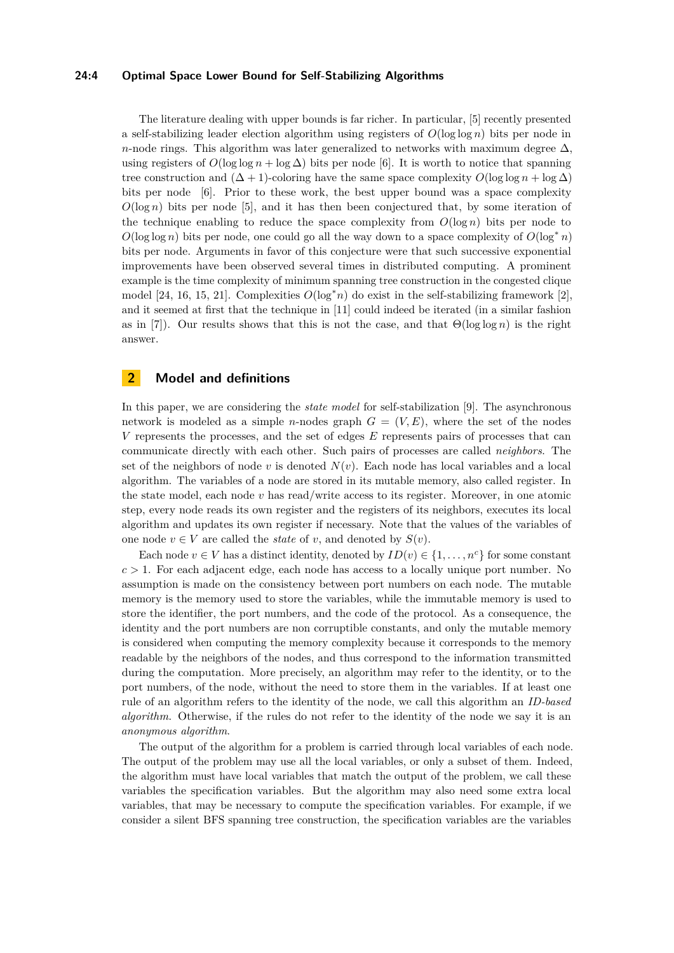#### **24:4 Optimal Space Lower Bound for Self-Stabilizing Algorithms**

The literature dealing with upper bounds is far richer. In particular, [\[5\]](#page-10-3) recently presented a self-stabilizing leader election algorithm using registers of  $O(\log \log n)$  bits per node in *n*-node rings. This algorithm was later generalized to networks with maximum degree  $\Delta$ , using registers of  $O(\log \log n + \log \Delta)$  bits per node [\[6\]](#page-11-1). It is worth to notice that spanning tree construction and  $(\Delta + 1)$ -coloring have the same space complexity  $O(\log \log n + \log \Delta)$ bits per node [\[6\]](#page-11-1). Prior to these work, the best upper bound was a space complexity  $O(\log n)$  bits per node [\[5\]](#page-10-3), and it has then been conjectured that, by some iteration of the technique enabling to reduce the space complexity from  $O(\log n)$  bits per node to  $O(\log \log n)$  bits per node, one could go all the way down to a space complexity of  $O(\log^* n)$ bits per node. Arguments in favor of this conjecture were that such successive exponential improvements have been observed several times in distributed computing. A prominent example is the time complexity of minimum spanning tree construction in the congested clique model [\[24,](#page-11-6) [16,](#page-11-7) [15,](#page-11-8) [21\]](#page-11-9). Complexities  $O(\log^* n)$  do exist in the self-stabilizing framework [\[2\]](#page-10-4), and it seemed at first that the technique in [\[11\]](#page-11-2) could indeed be iterated (in a similar fashion as in [\[7\]](#page-11-10)). Our results shows that this is not the case, and that Θ(log log *n*) is the right answer.

# **2 Model and definitions**

In this paper, we are considering the *state model* for self-stabilization [\[9\]](#page-11-11). The asynchronous network is modeled as a simple *n*-nodes graph  $G = (V, E)$ , where the set of the nodes *V* represents the processes, and the set of edges *E* represents pairs of processes that can communicate directly with each other. Such pairs of processes are called *neighbors*. The set of the neighbors of node *v* is denoted  $N(v)$ . Each node has local variables and a local algorithm. The variables of a node are stored in its mutable memory, also called register. In the state model, each node *v* has read/write access to its register. Moreover, in one atomic step, every node reads its own register and the registers of its neighbors, executes its local algorithm and updates its own register if necessary. Note that the values of the variables of one node  $v \in V$  are called the *state* of *v*, and denoted by  $S(v)$ .

Each node  $v \in V$  has a distinct identity, denoted by  $ID(v) \in \{1, \ldots, n^c\}$  for some constant  $c > 1$ . For each adjacent edge, each node has access to a locally unique port number. No assumption is made on the consistency between port numbers on each node. The mutable memory is the memory used to store the variables, while the immutable memory is used to store the identifier, the port numbers, and the code of the protocol. As a consequence, the identity and the port numbers are non corruptible constants, and only the mutable memory is considered when computing the memory complexity because it corresponds to the memory readable by the neighbors of the nodes, and thus correspond to the information transmitted during the computation. More precisely, an algorithm may refer to the identity, or to the port numbers, of the node, without the need to store them in the variables. If at least one rule of an algorithm refers to the identity of the node, we call this algorithm an *ID-based algorithm*. Otherwise, if the rules do not refer to the identity of the node we say it is an *anonymous algorithm*.

The output of the algorithm for a problem is carried through local variables of each node. The output of the problem may use all the local variables, or only a subset of them. Indeed, the algorithm must have local variables that match the output of the problem, we call these variables the specification variables. But the algorithm may also need some extra local variables, that may be necessary to compute the specification variables. For example, if we consider a silent BFS spanning tree construction, the specification variables are the variables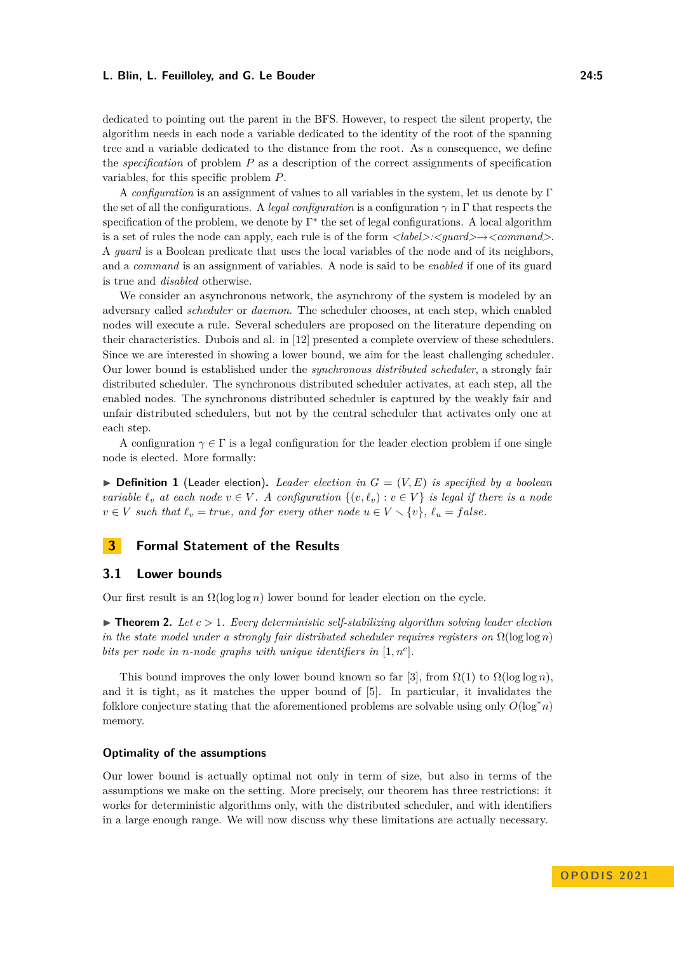dedicated to pointing out the parent in the BFS. However, to respect the silent property, the algorithm needs in each node a variable dedicated to the identity of the root of the spanning tree and a variable dedicated to the distance from the root. As a consequence, we define the *specification* of problem *P* as a description of the correct assignments of specification variables, for this specific problem *P*.

A *configuration* is an assignment of values to all variables in the system, let us denote by Γ the set of all the configurations. A *legal configuration* is a configuration *γ* in Γ that respects the specification of the problem, we denote by Γ<sup>\*</sup> the set of legal configurations. A local algorithm is a set of rules the node can apply, each rule is of the form *<label>:<guard>*→*<command>*. A *guard* is a Boolean predicate that uses the local variables of the node and of its neighbors, and a *command* is an assignment of variables. A node is said to be *enabled* if one of its guard is true and *disabled* otherwise.

We consider an asynchronous network, the asynchrony of the system is modeled by an adversary called *scheduler* or *daemon*. The scheduler chooses, at each step, which enabled nodes will execute a rule. Several schedulers are proposed on the literature depending on their characteristics. Dubois and al. in [\[12\]](#page-11-12) presented a complete overview of these schedulers. Since we are interested in showing a lower bound, we aim for the least challenging scheduler. Our lower bound is established under the *synchronous distributed scheduler*, a strongly fair distributed scheduler. The synchronous distributed scheduler activates, at each step, all the enabled nodes. The synchronous distributed scheduler is captured by the weakly fair and unfair distributed schedulers, but not by the central scheduler that activates only one at each step.

A configuration  $\gamma \in \Gamma$  is a legal configuration for the leader election problem if one single node is elected. More formally:

 $\triangleright$  **Definition 1** (Leader election). Leader election in  $G = (V, E)$  is specified by a boolean *variable*  $\ell_v$  *at each node*  $v \in V$ . A configuration  $\{(v, \ell_v) : v \in V\}$  *is legal if there is a node*  $v \in V$  *such that*  $\ell_v = true$ *, and for every other node*  $u \in V \setminus \{v\}$ *,*  $\ell_u = false$ *.* 

## **3 Formal Statement of the Results**

#### **3.1 Lower bounds**

Our first result is an  $\Omega(\log \log n)$  lower bound for leader election on the cycle.

<span id="page-4-0"></span> $\triangleright$  **Theorem 2.** Let  $c > 1$ . Every deterministic self-stabilizing algorithm solving leader election *in the state model under a strongly fair distributed scheduler requires registers on*  $\Omega(\log \log n)$ *bits per node in n-node graphs with unique identifiers in* [1*, n<sup>c</sup>* ]*.*

This bound improves the only lower bound known so far [\[3\]](#page-10-1), from  $\Omega(1)$  to  $\Omega(\log \log n)$ , and it is tight, as it matches the upper bound of [\[5\]](#page-10-3). In particular, it invalidates the folklore conjecture stating that the aforementioned problems are solvable using only  $O(\log^* n)$ memory.

#### **Optimality of the assumptions**

Our lower bound is actually optimal not only in term of size, but also in terms of the assumptions we make on the setting. More precisely, our theorem has three restrictions: it works for deterministic algorithms only, with the distributed scheduler, and with identifiers in a large enough range. We will now discuss why these limitations are actually necessary.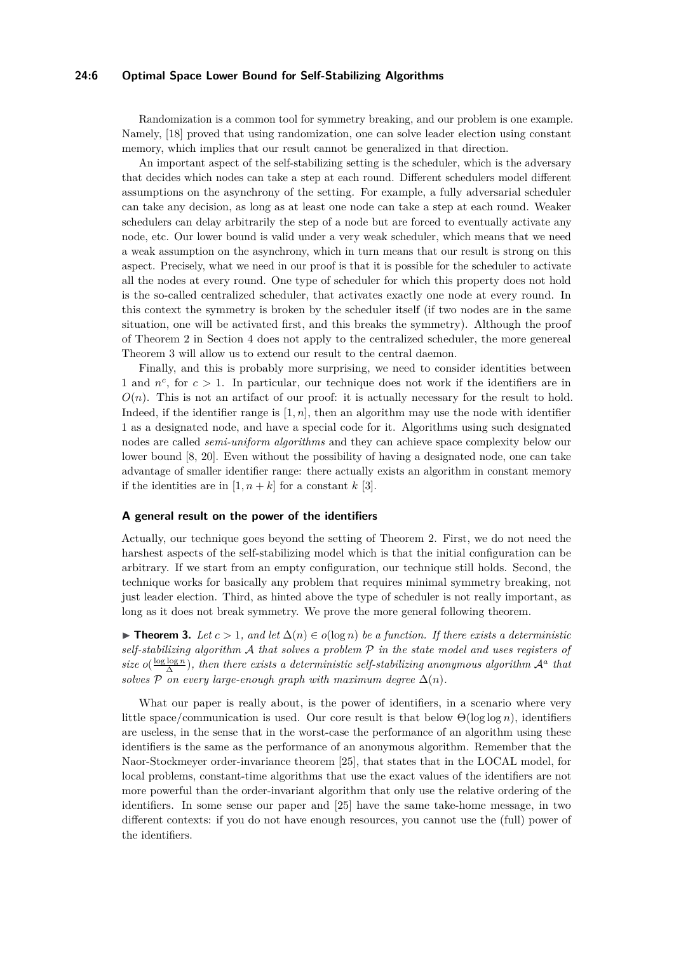#### **24:6 Optimal Space Lower Bound for Self-Stabilizing Algorithms**

Randomization is a common tool for symmetry breaking, and our problem is one example. Namely, [\[18\]](#page-11-13) proved that using randomization, one can solve leader election using constant memory, which implies that our result cannot be generalized in that direction.

An important aspect of the self-stabilizing setting is the scheduler, which is the adversary that decides which nodes can take a step at each round. Different schedulers model different assumptions on the asynchrony of the setting. For example, a fully adversarial scheduler can take any decision, as long as at least one node can take a step at each round. Weaker schedulers can delay arbitrarily the step of a node but are forced to eventually activate any node, etc. Our lower bound is valid under a very weak scheduler, which means that we need a weak assumption on the asynchrony, which in turn means that our result is strong on this aspect. Precisely, what we need in our proof is that it is possible for the scheduler to activate all the nodes at every round. One type of scheduler for which this property does not hold is the so-called centralized scheduler, that activates exactly one node at every round. In this context the symmetry is broken by the scheduler itself (if two nodes are in the same situation, one will be activated first, and this breaks the symmetry). Although the proof of Theorem [2](#page-4-0) in Section [4](#page-8-0) does not apply to the centralized scheduler, the more genereal Theorem [3](#page-5-0) will allow us to extend our result to the central daemon.

Finally, and this is probably more surprising, we need to consider identities between 1 and  $n^c$ , for  $c > 1$ . In particular, our technique does not work if the identifiers are in  $O(n)$ . This is not an artifact of our proof: it is actually necessary for the result to hold. Indeed, if the identifier range is  $[1, n]$ , then an algorithm may use the node with identifier 1 as a designated node, and have a special code for it. Algorithms using such designated nodes are called *semi-uniform algorithms* and they can achieve space complexity below our lower bound [\[8,](#page-11-14) [20\]](#page-11-15). Even without the possibility of having a designated node, one can take advantage of smaller identifier range: there actually exists an algorithm in constant memory if the identities are in  $[1, n+k]$  for a constant  $k$  [\[3\]](#page-10-1).

#### **A general result on the power of the identifiers**

Actually, our technique goes beyond the setting of Theorem [2.](#page-4-0) First, we do not need the harshest aspects of the self-stabilizing model which is that the initial configuration can be arbitrary. If we start from an empty configuration, our technique still holds. Second, the technique works for basically any problem that requires minimal symmetry breaking, not just leader election. Third, as hinted above the type of scheduler is not really important, as long as it does not break symmetry. We prove the more general following theorem.

<span id="page-5-0"></span>▶ **Theorem 3.** Let  $c > 1$ , and let  $\Delta(n) \in o(\log n)$  be a function. If there exists a deterministic *self-stabilizing algorithm* A *that solves a problem* P *in the state model and uses registers of size*  $o(\frac{\log \log n}{\Delta})$ , then there exists a deterministic self-stabilizing anonymous algorithm  $\mathcal{A}^a$  that *solves*  $P$  *on every large-enough graph with maximum degree*  $\Delta(n)$ *.* 

What our paper is really about, is the power of identifiers, in a scenario where very little space/communication is used. Our core result is that below  $\Theta(\log \log n)$ , identifiers are useless, in the sense that in the worst-case the performance of an algorithm using these identifiers is the same as the performance of an anonymous algorithm. Remember that the Naor-Stockmeyer order-invariance theorem [\[25\]](#page-11-16), that states that in the LOCAL model, for local problems, constant-time algorithms that use the exact values of the identifiers are not more powerful than the order-invariant algorithm that only use the relative ordering of the identifiers. In some sense our paper and [\[25\]](#page-11-16) have the same take-home message, in two different contexts: if you do not have enough resources, you cannot use the (full) power of the identifiers.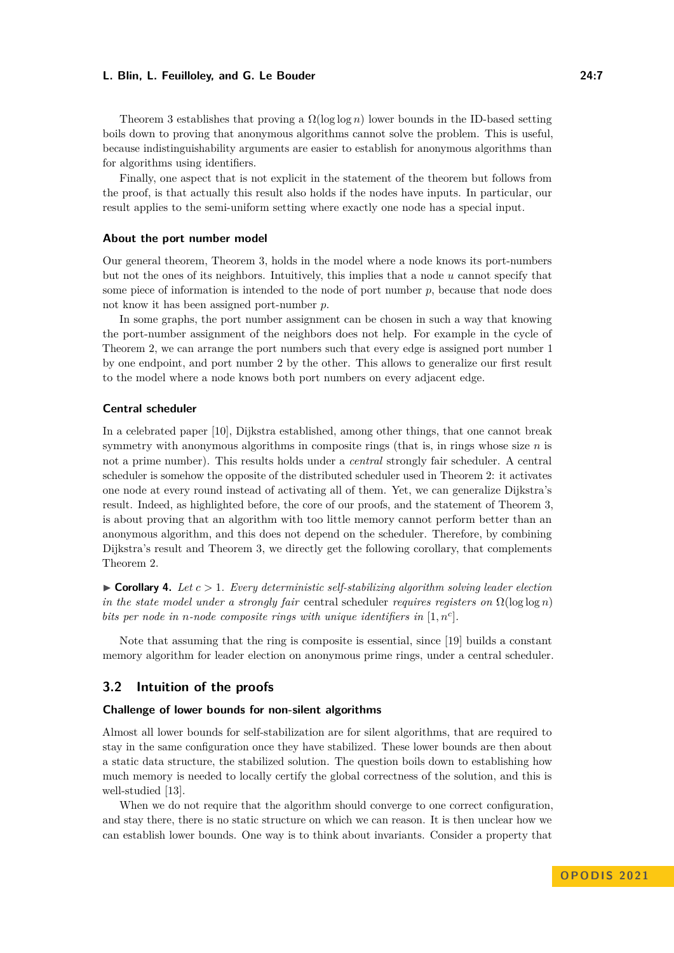Theorem [3](#page-5-0) establishes that proving a  $\Omega(\log \log n)$  lower bounds in the ID-based setting boils down to proving that anonymous algorithms cannot solve the problem. This is useful, because indistinguishability arguments are easier to establish for anonymous algorithms than for algorithms using identifiers.

Finally, one aspect that is not explicit in the statement of the theorem but follows from the proof, is that actually this result also holds if the nodes have inputs. In particular, our result applies to the semi-uniform setting where exactly one node has a special input.

#### **About the port number model**

Our general theorem, Theorem [3,](#page-5-0) holds in the model where a node knows its port-numbers but not the ones of its neighbors. Intuitively, this implies that a node *u* cannot specify that some piece of information is intended to the node of port number  $p$ , because that node does not know it has been assigned port-number *p*.

In some graphs, the port number assignment can be chosen in such a way that knowing the port-number assignment of the neighbors does not help. For example in the cycle of Theorem [2,](#page-4-0) we can arrange the port numbers such that every edge is assigned port number 1 by one endpoint, and port number 2 by the other. This allows to generalize our first result to the model where a node knows both port numbers on every adjacent edge.

#### **Central scheduler**

In a celebrated paper [\[10\]](#page-11-17), Dijkstra established, among other things, that one cannot break symmetry with anonymous algorithms in composite rings (that is, in rings whose size *n* is not a prime number). This results holds under a *central* strongly fair scheduler. A central scheduler is somehow the opposite of the distributed scheduler used in Theorem [2:](#page-4-0) it activates one node at every round instead of activating all of them. Yet, we can generalize Dijkstra's result. Indeed, as highlighted before, the core of our proofs, and the statement of Theorem [3,](#page-5-0) is about proving that an algorithm with too little memory cannot perform better than an anonymous algorithm, and this does not depend on the scheduler. Therefore, by combining Dijkstra's result and Theorem [3,](#page-5-0) we directly get the following corollary, that complements Theorem [2.](#page-4-0)

 $\triangleright$  **Corollary 4.** Let  $c > 1$ . Every deterministic self-stabilizing algorithm solving leader election *in the state model under a strongly fair* central scheduler *requires registers on*  $\Omega(\log \log n)$ *bits per node in n-node composite rings with unique identifiers in* [1*, n<sup>c</sup>* ]*.*

Note that assuming that the ring is composite is essential, since [\[19\]](#page-11-18) builds a constant memory algorithm for leader election on anonymous prime rings, under a central scheduler.

### **3.2 Intuition of the proofs**

#### **Challenge of lower bounds for non-silent algorithms**

Almost all lower bounds for self-stabilization are for silent algorithms, that are required to stay in the same configuration once they have stabilized. These lower bounds are then about a static data structure, the stabilized solution. The question boils down to establishing how much memory is needed to locally certify the global correctness of the solution, and this is well-studied [\[13\]](#page-11-19).

When we do not require that the algorithm should converge to one correct configuration, and stay there, there is no static structure on which we can reason. It is then unclear how we can establish lower bounds. One way is to think about invariants. Consider a property that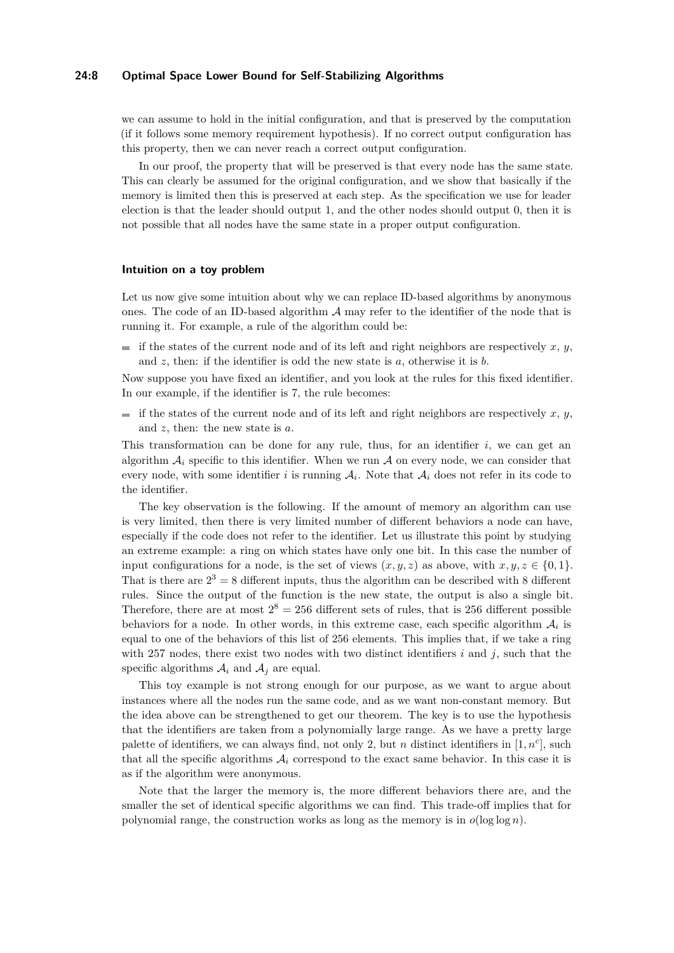#### **24:8 Optimal Space Lower Bound for Self-Stabilizing Algorithms**

we can assume to hold in the initial configuration, and that is preserved by the computation (if it follows some memory requirement hypothesis). If no correct output configuration has this property, then we can never reach a correct output configuration.

In our proof, the property that will be preserved is that every node has the same state. This can clearly be assumed for the original configuration, and we show that basically if the memory is limited then this is preserved at each step. As the specification we use for leader election is that the leader should output 1, and the other nodes should output 0, then it is not possible that all nodes have the same state in a proper output configuration.

#### **Intuition on a toy problem**

Let us now give some intuition about why we can replace ID-based algorithms by anonymous ones. The code of an ID-based algorithm  $A$  may refer to the identifier of the node that is running it. For example, a rule of the algorithm could be:

 $\blacksquare$  if the states of the current node and of its left and right neighbors are respectively *x*, *y*, and *z*, then: if the identifier is odd the new state is *a*, otherwise it is *b*.

Now suppose you have fixed an identifier, and you look at the rules for this fixed identifier. In our example, if the identifier is 7, the rule becomes:

if the states of the current node and of its left and right neighbors are respectively  $x, y$ , and *z*, then: the new state is *a*.

This transformation can be done for any rule, thus, for an identifier  $i$ , we can get an algorithm  $A_i$  specific to this identifier. When we run  $A$  on every node, we can consider that every node, with some identifier *i* is running  $A_i$ . Note that  $A_i$  does not refer in its code to the identifier.

The key observation is the following. If the amount of memory an algorithm can use is very limited, then there is very limited number of different behaviors a node can have, especially if the code does not refer to the identifier. Let us illustrate this point by studying an extreme example: a ring on which states have only one bit. In this case the number of input configurations for a node, is the set of views  $(x, y, z)$  as above, with  $x, y, z \in \{0, 1\}$ . That is there are  $2^3 = 8$  different inputs, thus the algorithm can be described with 8 different rules. Since the output of the function is the new state, the output is also a single bit. Therefore, there are at most  $2^8 = 256$  different sets of rules, that is 256 different possible behaviors for a node. In other words, in this extreme case, each specific algorithm  $A_i$  is equal to one of the behaviors of this list of 256 elements. This implies that, if we take a ring with 257 nodes, there exist two nodes with two distinct identifiers  $i$  and  $j$ , such that the specific algorithms  $A_i$  and  $A_j$  are equal.

This toy example is not strong enough for our purpose, as we want to argue about instances where all the nodes run the same code, and as we want non-constant memory. But the idea above can be strengthened to get our theorem. The key is to use the hypothesis that the identifiers are taken from a polynomially large range. As we have a pretty large palette of identifiers, we can always find, not only 2, but *n* distinct identifiers in  $[1, n<sup>c</sup>]$ , such that all the specific algorithms  $A_i$  correspond to the exact same behavior. In this case it is as if the algorithm were anonymous.

Note that the larger the memory is, the more different behaviors there are, and the smaller the set of identical specific algorithms we can find. This trade-off implies that for polynomial range, the construction works as long as the memory is in  $o(\log \log n)$ .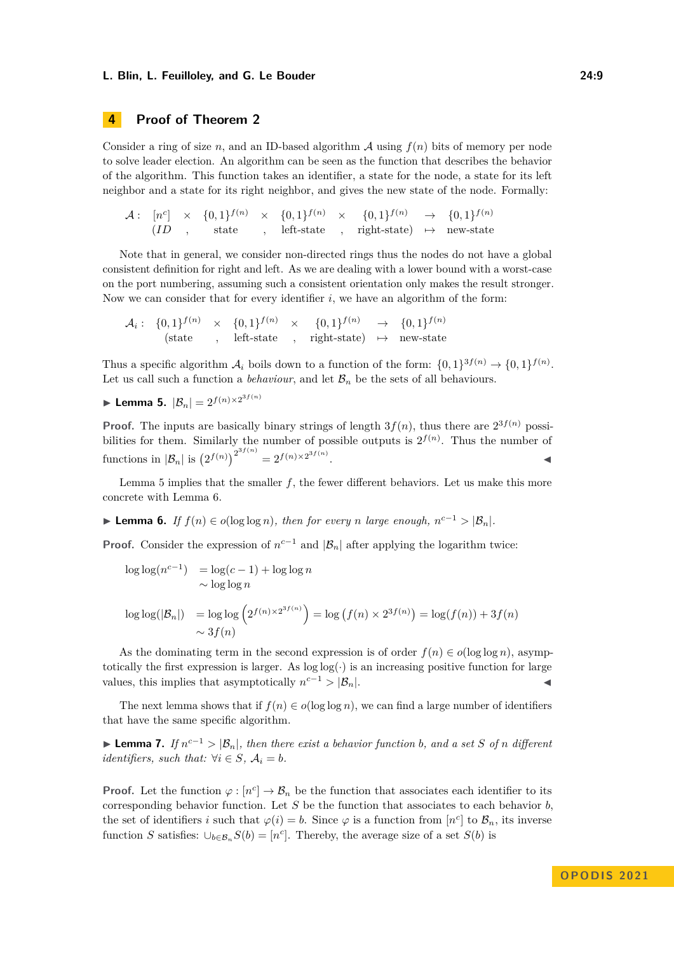# <span id="page-8-0"></span>**4 Proof of Theorem [2](#page-4-0)**

Consider a ring of size *n*, and an ID-based algorithm  $A$  using  $f(n)$  bits of memory per node to solve leader election. An algorithm can be seen as the function that describes the behavior of the algorithm. This function takes an identifier, a state for the node, a state for its left neighbor and a state for its right neighbor, and gives the new state of the node. Formally:

 $\mathcal{A}: \quad [n^c] \quad \times \quad \{0,1\}^{f(n)} \quad \times \quad \{0,1\}^{f(n)} \quad \times \quad \{0,1\}^{f(n)} \quad \rightarrow \quad \{0,1\}^{f(n)}$  $(ID ,$  state *,* left-state *,* right-state)  $\mapsto$  new-state

Note that in general, we consider non-directed rings thus the nodes do not have a global consistent definition for right and left. As we are dealing with a lower bound with a worst-case on the port numbering, assuming such a consistent orientation only makes the result stronger. Now we can consider that for every identifier  $i$ , we have an algorithm of the form:

$$
\mathcal{A}_i: \{0,1\}^{f(n)} \times \{0,1\}^{f(n)} \times \{0,1\}^{f(n)} \to \{0,1\}^{f(n)}
$$
\n
$$
\text{(state }, \text{left-state }, \text{right-state } \to \text{new-state}
$$

Thus a specific algorithm  $\mathcal{A}_i$  boils down to a function of the form:  $\{0,1\}^{\mathfrak{Z}(n)} \to \{0,1\}^{f(n)}$ . Let us call such a function a *behaviour*, and let  $\mathcal{B}_n$  be the sets of all behaviours.

<span id="page-8-1"></span>▶ Lemma 5.  $|\mathcal{B}_n| = 2^{f(n) \times 2^{3f(n)}}$ 

**Proof.** The inputs are basically binary strings of length  $3f(n)$ , thus there are  $2^{3f(n)}$  possibilities for them. Similarly the number of possible outputs is  $2^{f(n)}$ . Thus the number of functions in  $|\mathcal{B}_n|$  is  $(2^{f(n)})^{2^{3f(n)}} = 2^{f(n) \times 2^{3f(n)}}$ .

Lemma [5](#page-8-1) implies that the smaller *f*, the fewer different behaviors. Let us make this more concrete with Lemma [6.](#page-8-2)

<span id="page-8-2"></span>▶ **Lemma 6.** *If*  $f(n) \in o(\log \log n)$ *, then for every n large enough,*  $n^{c-1} > |B_n|$ *.* 

**Proof.** Consider the expression of  $n^{c-1}$  and  $|\mathcal{B}_n|$  after applying the logarithm twice:

$$
\log \log (n^{c-1}) = \log (c-1) + \log \log n
$$
  
 
$$
\sim \log \log n
$$

$$
\log \log(|\mathcal{B}_n|) = \log \log \left( 2^{f(n) \times 2^{3f(n)}} \right) = \log \left( f(n) \times 2^{3f(n)} \right) = \log(f(n)) + 3f(n)
$$
  
 
$$
\sim 3f(n)
$$

As the dominating term in the second expression is of order  $f(n) \in o(\log \log n)$ , asymptotically the first expression is larger. As  $log log(\cdot)$  is an increasing positive function for large values, this implies that asymptotically  $n^{c-1} > |\mathcal{B}_n|$ .

The next lemma shows that if  $f(n) \in o(\log \log n)$ , we can find a large number of identifiers that have the same specific algorithm.

<span id="page-8-3"></span>▶ **Lemma 7.** *If*  $n^{c-1}$  >  $|\mathcal{B}_n|$ *, then there exist a behavior function b, and a set S of n* different *identifiers, such that:*  $\forall i \in S, A_i = b$ .

**Proof.** Let the function  $\varphi : [n^c] \to \mathcal{B}_n$  be the function that associates each identifier to its corresponding behavior function. Let *S* be the function that associates to each behavior *b*, the set of identifiers *i* such that  $\varphi(i) = b$ . Since  $\varphi$  is a function from  $[n^c]$  to  $\mathcal{B}_n$ , its inverse function *S* satisfies:  $\bigcup_{b \in \mathcal{B}_n} S(b) = [n^c]$ . Thereby, the average size of a set *S*(*b*) is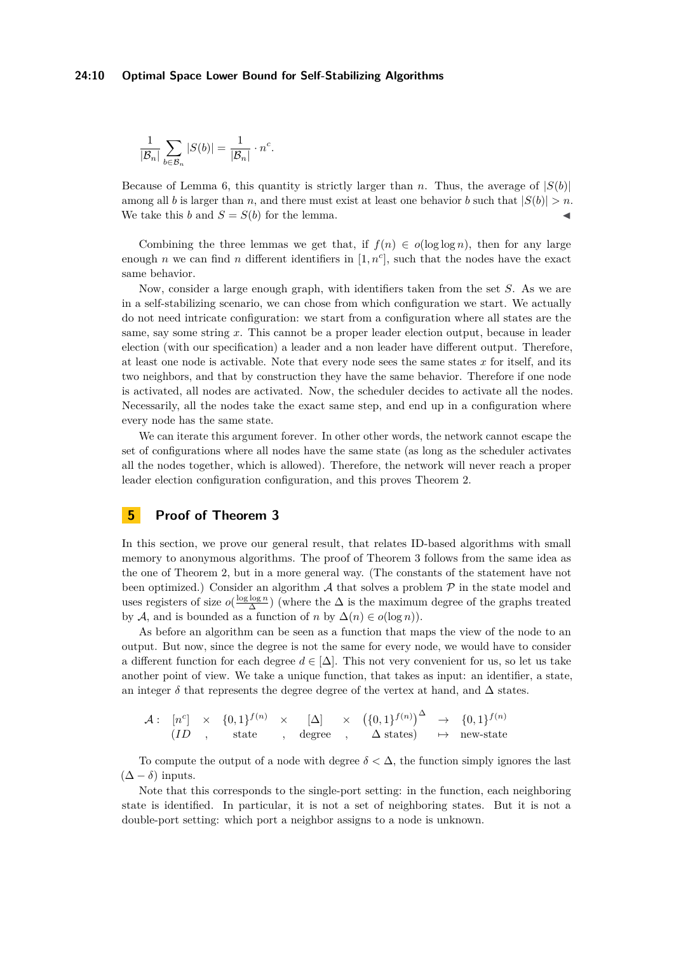*.*

$$
\frac{1}{|\mathcal{B}_n|}\sum_{b\in\mathcal{B}_n}|S(b)|=\frac{1}{|\mathcal{B}_n|}\cdot n^c
$$

Because of Lemma [6,](#page-8-2) this quantity is strictly larger than *n*. Thus, the average of  $|S(b)|$ among all *b* is larger than *n*, and there must exist at least one behavior *b* such that  $|S(b)| > n$ . We take this *b* and  $S = S(b)$  for the lemma.

Combining the three lemmas we get that, if  $f(n) \in o(\log \log n)$ , then for any large enough *n* we can find *n* different identifiers in  $[1, n<sup>c</sup>]$ , such that the nodes have the exact same behavior.

Now, consider a large enough graph, with identifiers taken from the set *S*. As we are in a self-stabilizing scenario, we can chose from which configuration we start. We actually do not need intricate configuration: we start from a configuration where all states are the same, say some string *x*. This cannot be a proper leader election output, because in leader election (with our specification) a leader and a non leader have different output. Therefore, at least one node is activable. Note that every node sees the same states *x* for itself, and its two neighbors, and that by construction they have the same behavior. Therefore if one node is activated, all nodes are activated. Now, the scheduler decides to activate all the nodes. Necessarily, all the nodes take the exact same step, and end up in a configuration where every node has the same state.

We can iterate this argument forever. In other other words, the network cannot escape the set of configurations where all nodes have the same state (as long as the scheduler activates all the nodes together, which is allowed). Therefore, the network will never reach a proper leader election configuration configuration, and this proves Theorem [2.](#page-4-0)

# **5 Proof of Theorem [3](#page-5-0)**

In this section, we prove our general result, that relates ID-based algorithms with small memory to anonymous algorithms. The proof of Theorem [3](#page-5-0) follows from the same idea as the one of Theorem [2,](#page-4-0) but in a more general way. (The constants of the statement have not been optimized.) Consider an algorithm  $A$  that solves a problem  $P$  in the state model and uses registers of size  $o(\frac{\log \log n}{\Delta})$  (where the  $\Delta$  is the maximum degree of the graphs treated by A, and is bounded as a function of *n* by  $\Delta(n) \in o(\log n)$ .

As before an algorithm can be seen as a function that maps the view of the node to an output. But now, since the degree is not the same for every node, we would have to consider a different function for each degree  $d \in [\Delta]$ . This not very convenient for us, so let us take another point of view. We take a unique function, that takes as input: an identifier, a state, an integer  $\delta$  that represents the degree degree of the vertex at hand, and  $\Delta$  states.

 $\mathcal{A}: \quad [n^c] \quad \times \quad \{0,1\}^{f(n)} \quad \times \quad \ \text{[\Delta]} \quad \quad \times \quad \left(\{0,1\}^{f(n)}\right)^{\Delta} \quad \rightarrow \quad \{0,1\}^{f(n)}$  $(ID ,$  state *,* degree *,*  $\Delta$  states)  $\mapsto$  new-state

To compute the output of a node with degree  $\delta < \Delta$ , the function simply ignores the last (∆ − *δ*) inputs.

Note that this corresponds to the single-port setting: in the function, each neighboring state is identified. In particular, it is not a set of neighboring states. But it is not a double-port setting: which port a neighbor assigns to a node is unknown.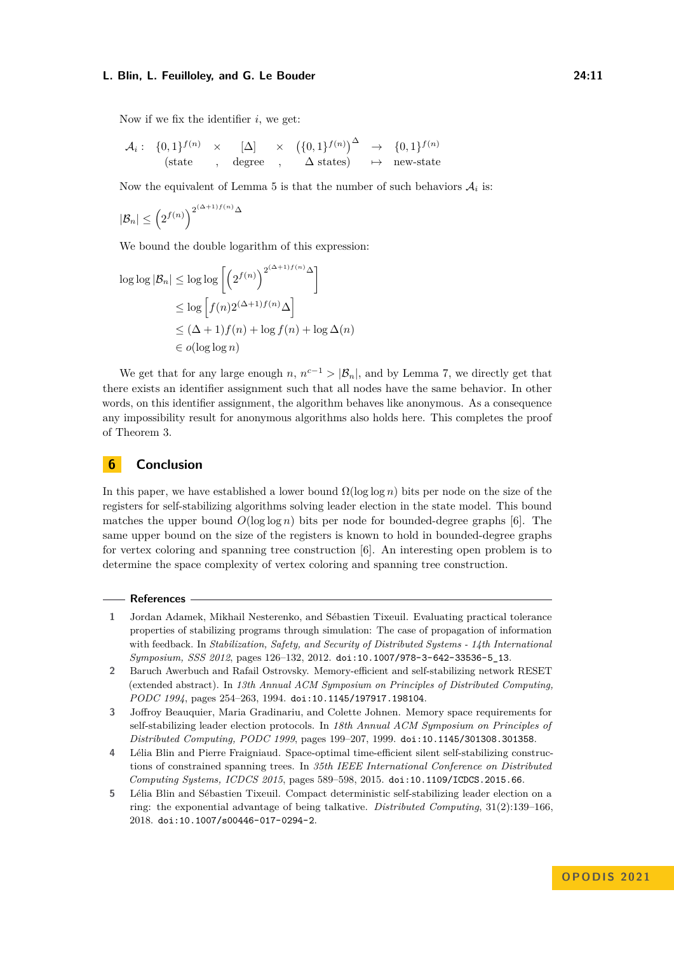Now if we fix the identifier *i*, we get:

$$
\mathcal{A}_i: \begin{array}{ccc} \{0,1\}^{f(n)} & \times & [\Delta] & \times & (\{0,1\}^{f(n)})^{\Delta} \rightarrow \{0,1\}^{f(n)} \\ \text{(state} & , \text{ degree} \cdot, & \Delta \text{ states}) & \mapsto \text{ new-state} \end{array}
$$

Now the equivalent of Lemma [5](#page-8-1) is that the number of such behaviors  $A_i$  is:

$$
|\mathcal{B}_n| \leq \left(2^{f(n)}\right)^{2^{(\Delta+1)f(n)}\Delta}
$$

We bound the double logarithm of this expression:

$$
\log \log |\mathcal{B}_n| \le \log \log \left[ \left( 2^{f(n)} \right)^{2^{(\Delta+1)f(n)} \Delta} \right]
$$
  
\n
$$
\le \log \left[ f(n) 2^{(\Delta+1)f(n)} \Delta \right]
$$
  
\n
$$
\le (\Delta+1)f(n) + \log f(n) + \log \Delta(n)
$$
  
\n
$$
\in o(\log \log n)
$$

We get that for any large enough *n*,  $n^{c-1} > |\mathcal{B}_n|$ , and by Lemma [7,](#page-8-3) we directly get that there exists an identifier assignment such that all nodes have the same behavior. In other words, on this identifier assignment, the algorithm behaves like anonymous. As a consequence any impossibility result for anonymous algorithms also holds here. This completes the proof of Theorem [3.](#page-5-0)

# **6 Conclusion**

In this paper, we have established a lower bound  $\Omega(\log \log n)$  bits per node on the size of the registers for self-stabilizing algorithms solving leader election in the state model. This bound matches the upper bound  $O(\log \log n)$  bits per node for bounded-degree graphs [\[6\]](#page-11-1). The same upper bound on the size of the registers is known to hold in bounded-degree graphs for vertex coloring and spanning tree construction [\[6\]](#page-11-1). An interesting open problem is to determine the space complexity of vertex coloring and spanning tree construction.

#### **References**

- <span id="page-10-0"></span>**1** Jordan Adamek, Mikhail Nesterenko, and Sébastien Tixeuil. Evaluating practical tolerance properties of stabilizing programs through simulation: The case of propagation of information with feedback. In *Stabilization, Safety, and Security of Distributed Systems - 14th International Symposium, SSS 2012*, pages 126–132, 2012. [doi:10.1007/978-3-642-33536-5\\_13](https://doi.org/10.1007/978-3-642-33536-5_13).
- <span id="page-10-4"></span>**2** Baruch Awerbuch and Rafail Ostrovsky. Memory-efficient and self-stabilizing network RESET (extended abstract). In *13th Annual ACM Symposium on Principles of Distributed Computing, PODC 1994*, pages 254–263, 1994. [doi:10.1145/197917.198104](https://doi.org/10.1145/197917.198104).
- <span id="page-10-1"></span>**3** Joffroy Beauquier, Maria Gradinariu, and Colette Johnen. Memory space requirements for self-stabilizing leader election protocols. In *18th Annual ACM Symposium on Principles of Distributed Computing, PODC 1999*, pages 199–207, 1999. [doi:10.1145/301308.301358](https://doi.org/10.1145/301308.301358).
- <span id="page-10-2"></span>**4** Lélia Blin and Pierre Fraigniaud. Space-optimal time-efficient silent self-stabilizing constructions of constrained spanning trees. In *35th IEEE International Conference on Distributed Computing Systems, ICDCS 2015*, pages 589–598, 2015. [doi:10.1109/ICDCS.2015.66](https://doi.org/10.1109/ICDCS.2015.66).
- <span id="page-10-3"></span>**5** Lélia Blin and Sébastien Tixeuil. Compact deterministic self-stabilizing leader election on a ring: the exponential advantage of being talkative. *Distributed Computing*, 31(2):139–166, 2018. [doi:10.1007/s00446-017-0294-2](https://doi.org/10.1007/s00446-017-0294-2).